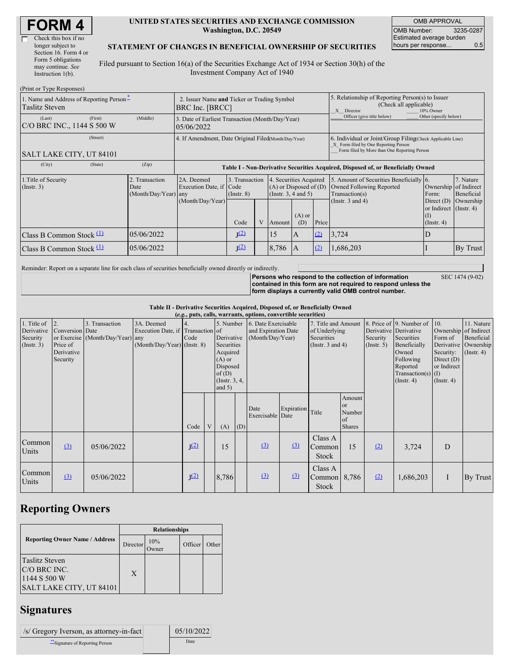| <b>FORM4</b> |
|--------------|
|--------------|

| Check this box if no  |
|-----------------------|
| longer subject to     |
| Section 16. Form 4 or |
| Form 5 obligations    |
| may continue. See     |
| Instruction $1(b)$ .  |
|                       |

 $(D_{\text{wint}} \text{ or } T_{\text{true}} \text{ or } D_{\text{new}})$ 

#### **UNITED STATES SECURITIES AND EXCHANGE COMMISSION Washington, D.C. 20549**

OMB APPROVAL OMB Number: 3235-0287 Estimated average burden hours per response... 0.5

SEC 1474 (9-02)

### **STATEMENT OF CHANGES IN BENEFICIAL OWNERSHIP OF SECURITIES**

Filed pursuant to Section 16(a) of the Securities Exchange Act of 1934 or Section 30(h) of the Investment Company Act of 1940

| $(1 \text{ min of 1 ypc }$ <i>Responses</i>                                                                                  |         |                                                      |                                                                                  |                                           |   |                                                                                                          |                |                                                                                                                                                    |                                                                                                                |                                                                                                    |                                      |  |
|------------------------------------------------------------------------------------------------------------------------------|---------|------------------------------------------------------|----------------------------------------------------------------------------------|-------------------------------------------|---|----------------------------------------------------------------------------------------------------------|----------------|----------------------------------------------------------------------------------------------------------------------------------------------------|----------------------------------------------------------------------------------------------------------------|----------------------------------------------------------------------------------------------------|--------------------------------------|--|
| 1. Name and Address of Reporting Person-<br>2. Issuer Name and Ticker or Trading Symbol<br>Taslitz Steven<br>BRC Inc. [BRCC] |         |                                                      |                                                                                  |                                           |   |                                                                                                          |                |                                                                                                                                                    | 5. Relationship of Reporting Person(s) to Issuer<br>(Check all applicable)<br>10% Owner<br>X Director          |                                                                                                    |                                      |  |
| (Last)<br>C/O BRC INC., 1144 S 500 W                                                                                         | (First) | (Middle)                                             | 3. Date of Earliest Transaction (Month/Day/Year)<br>05/06/2022                   |                                           |   |                                                                                                          |                |                                                                                                                                                    | Officer (give title below)                                                                                     | Other (specify below)                                                                              |                                      |  |
| SALT LAKE CITY, UT 84101                                                                                                     |         | 4. If Amendment, Date Original Filed(Month/Day/Year) |                                                                                  |                                           |   |                                                                                                          |                | 6. Individual or Joint/Group Filing Check Applicable Line)<br>X Form filed by One Reporting Person<br>Form filed by More than One Reporting Person |                                                                                                                |                                                                                                    |                                      |  |
| (City)                                                                                                                       | (State) | (Zip)                                                | Table I - Non-Derivative Securities Acquired, Disposed of, or Beneficially Owned |                                           |   |                                                                                                          |                |                                                                                                                                                    |                                                                                                                |                                                                                                    |                                      |  |
| 1. Title of Security<br>(Insert. 3)                                                                                          |         | 2. Transaction<br>Date<br>(Month/Day/Year)           | 2A. Deemed<br>Execution Date, if Code<br>any<br>(Month/Day/Year)                 | 3. Transaction<br>$($ Instr. $8)$<br>Code | V | 4. Securities Acquired<br>$(A)$ or Disposed of $(D)$<br>(Instr. 3, 4 and 5)<br>$(A)$ or<br>(D)<br>Amount |                | Price                                                                                                                                              | 5. Amount of Securities Beneficially 6.<br>Owned Following Reported<br>Transaction(s)<br>(Instr. $3$ and $4$ ) | Ownership of Indirect<br>Form:<br>Direct $(D)$<br>or Indirect $($ Instr. 4 $)$<br>$($ Instr. 4 $)$ | 7. Nature<br>Beneficial<br>Ownership |  |
| Class B Common Stock $\Box$                                                                                                  |         | 05/06/2022                                           |                                                                                  | J <sup>(2)</sup>                          |   | 15                                                                                                       | $\overline{A}$ | (2)                                                                                                                                                | 3,724                                                                                                          | D                                                                                                  |                                      |  |
| Class B Common Stock $(1)$                                                                                                   |         | 05/06/2022                                           |                                                                                  | J <sup>(2)</sup><br>(2)<br>8,786<br>I A   |   |                                                                                                          |                |                                                                                                                                                    | 1,686,203                                                                                                      |                                                                                                    | By Trust                             |  |

Reminder: Report on a separate line for each class of securities beneficially owned directly or indirectly.

**Persons who respond to the collection of information contained in this form are not required to respond unless the form displays a currently valid OMB control number.**

**Table II - Derivative Securities Acquired, Disposed of, or Beneficially Owned**

| (e.g., puts, calls, warrants, options, convertible securities) |                                                              |                                                    |                                                                                  |                  |   |                                                                                                         |     |                                                                                                                                                         |                              |                                                  |                                                                                                                                      |                                                                                                         |                                                                      |   |          |
|----------------------------------------------------------------|--------------------------------------------------------------|----------------------------------------------------|----------------------------------------------------------------------------------|------------------|---|---------------------------------------------------------------------------------------------------------|-----|---------------------------------------------------------------------------------------------------------------------------------------------------------|------------------------------|--------------------------------------------------|--------------------------------------------------------------------------------------------------------------------------------------|---------------------------------------------------------------------------------------------------------|----------------------------------------------------------------------|---|----------|
| 1. Title of<br>Derivative<br>Security<br>(Insert. 3)           | 12.<br>Conversion Date<br>Price of<br>Derivative<br>Security | 3. Transaction<br>or Exercise (Month/Day/Year) any | 3A. Deemed<br>Execution Date, if Transaction of<br>$(Month/Day/Year)$ (Instr. 8) | Code             |   | Derivative<br>Securities<br>Acquired<br>$(A)$ or<br>Disposed<br>of $(D)$<br>(Instr. $3, 4,$<br>and $5)$ |     | 5. Number 6. Date Exercisable<br>7. Title and Amount<br>of Underlying<br>and Expiration Date<br>(Month/Day/Year)<br>Securities<br>(Instr. $3$ and $4$ ) |                              | Derivative Derivative<br>Security<br>(Insert. 5) | 8. Price of 9. Number of<br>Securities<br>Beneficially<br>Owned<br>Following<br>Reported<br>Transaction(s) $(I)$<br>$($ Instr. 4 $)$ | 10.<br>Ownership of Indirect<br>Form of<br>Security:<br>Direct $(D)$<br>or Indirect<br>$($ Instr. 4 $)$ | 11. Nature<br>Beneficial<br>Derivative Ownership<br>$($ Instr. 4 $)$ |   |          |
|                                                                |                                                              |                                                    |                                                                                  | Code             | V | (A)                                                                                                     | (D) | Date<br>Exercisable Date                                                                                                                                | Expiration                   | Title                                            | Amount<br><sub>or</sub><br>Number<br>of<br><b>Shares</b>                                                                             |                                                                                                         |                                                                      |   |          |
| Common<br>Units                                                | (3)                                                          | 05/06/2022                                         |                                                                                  | J <sup>(2)</sup> |   | 15                                                                                                      |     | $\left( \underline{3} \right)$                                                                                                                          | (3)                          | Class A<br>Common<br>Stock                       | 15                                                                                                                                   | (2)                                                                                                     | 3,724                                                                | D |          |
| Common<br>Units                                                | $\underline{3}$                                              | 05/06/2022                                         |                                                                                  | J <sup>(2)</sup> |   | 8,786                                                                                                   |     | $\Omega$                                                                                                                                                | $\left( \frac{3}{2} \right)$ | Class A<br>Common<br>Stock                       | 8,786                                                                                                                                | (2)                                                                                                     | 1,686,203                                                            |   | By Trust |

# **Reporting Owners**

|                                                                                   | <b>Relationships</b> |              |         |       |  |  |  |  |
|-----------------------------------------------------------------------------------|----------------------|--------------|---------|-------|--|--|--|--|
| <b>Reporting Owner Name / Address</b>                                             | Director             | 10%<br>)wner | Officer | Other |  |  |  |  |
| <b>Taslitz Steven</b><br>C/O BRC INC.<br>1144 S 500 W<br>SALT LAKE CITY, UT 84101 | X                    |              |         |       |  |  |  |  |

## **Signatures**

| <i>S/</i> Gregory Iverson, as attorney-in-fact | 05/10/2022 |
|------------------------------------------------|------------|
| Signature of Reporting Person                  | Date       |